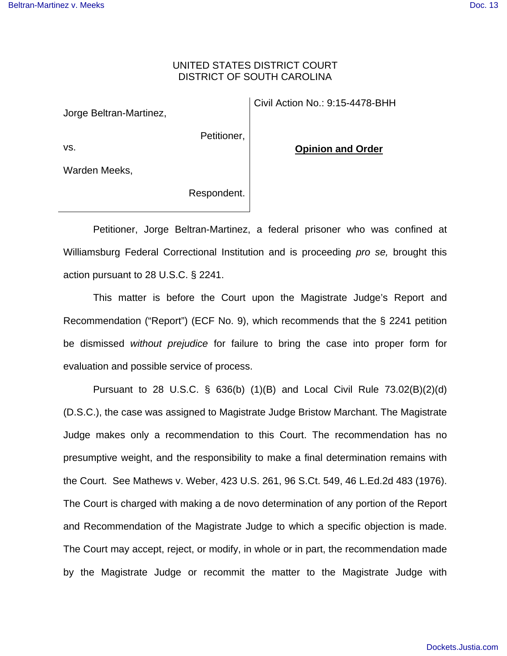## UNITED STATES DISTRICT COURT DISTRICT OF SOUTH CAROLINA

Jorge Beltran-Martinez,

Petitioner,

**Opinion and Order** 

Civil Action No.: 9:15-4478-BHH

Warden Meeks,

vs.

Respondent.

 Petitioner, Jorge Beltran-Martinez, a federal prisoner who was confined at Williamsburg Federal Correctional Institution and is proceeding pro se, brought this action pursuant to 28 U.S.C. § 2241.

 This matter is before the Court upon the Magistrate Judge's Report and Recommendation ("Report") (ECF No. 9), which recommends that the § 2241 petition be dismissed *without prejudice* for failure to bring the case into proper form for evaluation and possible service of process.

 Pursuant to 28 U.S.C. § 636(b) (1)(B) and Local Civil Rule 73.02(B)(2)(d) (D.S.C.), the case was assigned to Magistrate Judge Bristow Marchant. The Magistrate Judge makes only a recommendation to this Court. The recommendation has no presumptive weight, and the responsibility to make a final determination remains with the Court. See Mathews v. Weber, 423 U.S. 261, 96 S.Ct. 549, 46 L.Ed.2d 483 (1976). The Court is charged with making a de novo determination of any portion of the Report and Recommendation of the Magistrate Judge to which a specific objection is made. The Court may accept, reject, or modify, in whole or in part, the recommendation made by the Magistrate Judge or recommit the matter to the Magistrate Judge with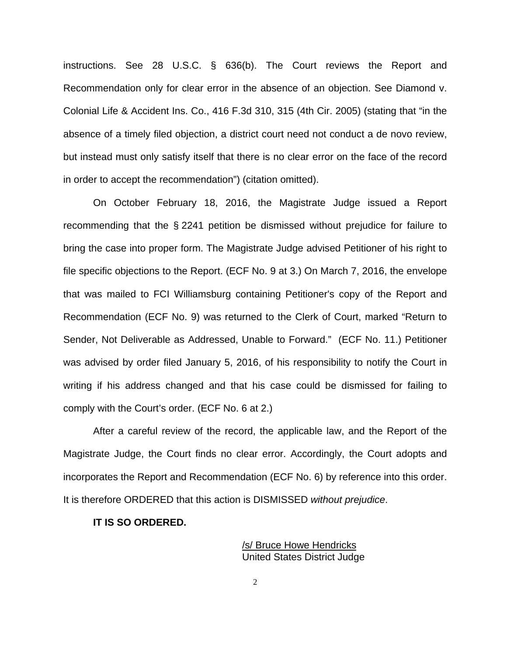instructions. See 28 U.S.C. § 636(b). The Court reviews the Report and Recommendation only for clear error in the absence of an objection. See Diamond v. Colonial Life & Accident Ins. Co., 416 F.3d 310, 315 (4th Cir. 2005) (stating that "in the absence of a timely filed objection, a district court need not conduct a de novo review, but instead must only satisfy itself that there is no clear error on the face of the record in order to accept the recommendation") (citation omitted).

 On October February 18, 2016, the Magistrate Judge issued a Report recommending that the § 2241 petition be dismissed without prejudice for failure to bring the case into proper form. The Magistrate Judge advised Petitioner of his right to file specific objections to the Report. (ECF No. 9 at 3.) On March 7, 2016, the envelope that was mailed to FCI Williamsburg containing Petitioner's copy of the Report and Recommendation (ECF No. 9) was returned to the Clerk of Court, marked "Return to Sender, Not Deliverable as Addressed, Unable to Forward." (ECF No. 11.) Petitioner was advised by order filed January 5, 2016, of his responsibility to notify the Court in writing if his address changed and that his case could be dismissed for failing to comply with the Court's order. (ECF No. 6 at 2.)

 After a careful review of the record, the applicable law, and the Report of the Magistrate Judge, the Court finds no clear error. Accordingly, the Court adopts and incorporates the Report and Recommendation (ECF No. 6) by reference into this order. It is therefore ORDERED that this action is DISMISSED without prejudice.

## **IT IS SO ORDERED.**

 /s/ Bruce Howe Hendricks United States District Judge